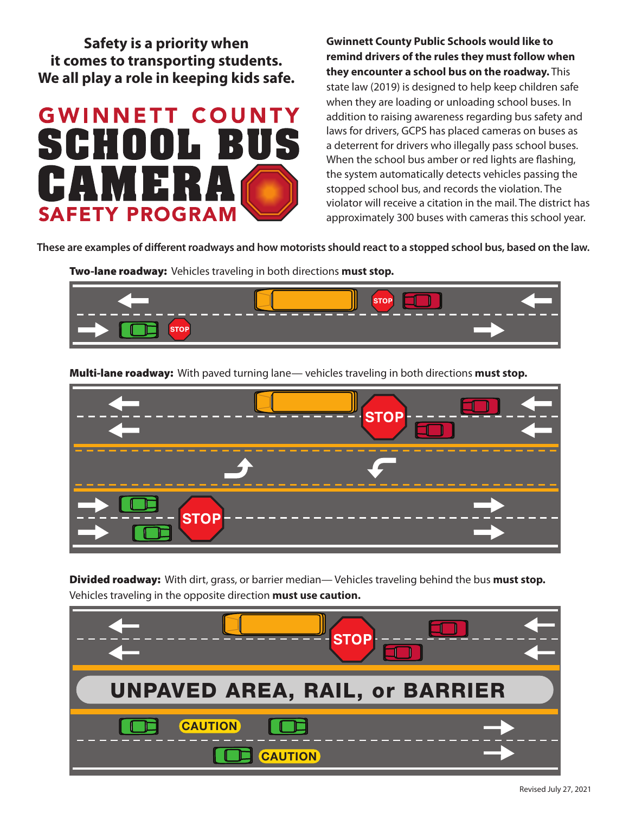**Safety is a priority when it comes to transporting students. We all play a role in keeping kids safe.**



**Gwinnett County Public Schools would like to remind drivers of the rules they must follow when they encounter a school bus on the roadway.** This state law (2019) is designed to help keep children safe when they are loading or unloading school buses. In addition to raising awareness regarding bus safety and laws for drivers, GCPS has placed cameras on buses as a deterrent for drivers who illegally pass school buses. When the school bus amber or red lights are flashing, the system automatically detects vehicles passing the stopped school bus, and records the violation. The violator will receive a citation in the mail. The district has approximately 300 buses with cameras this school year.

**These are examples of different roadways and how motorists should react to a stopped school bus, based on the law.**

Two-lane roadway: Vehicles traveling in both directions **must stop.**



Multi-lane roadway: With paved turning lane— vehicles traveling in both directions **must stop.**



Divided roadway: With dirt, grass, or barrier median— Vehicles traveling behind the bus **must stop.** Vehicles traveling in the opposite direction **must use caution.**